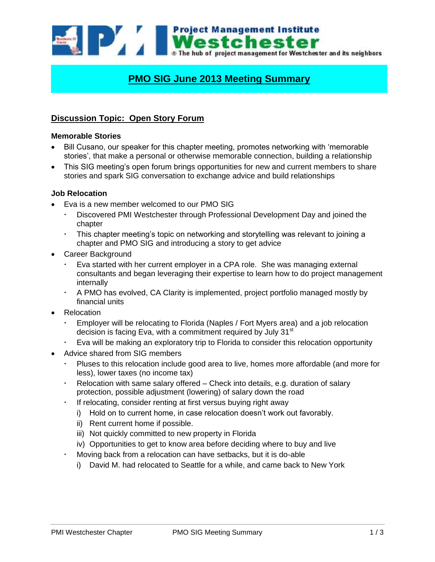

# **PMO SIG June 2013 Meeting Summary**

## **Discussion Topic: Open Story Forum**

#### **Memorable Stories**

- Bill Cusano, our speaker for this chapter meeting, promotes networking with 'memorable stories', that make a personal or otherwise memorable connection, building a relationship
- This SIG meeting's open forum brings opportunities for new and current members to share stories and spark SIG conversation to exchange advice and build relationships

#### **Job Relocation**

- Eva is a new member welcomed to our PMO SIG
	- Discovered PMI Westchester through Professional Development Day and joined the chapter
	- This chapter meeting's topic on networking and storytelling was relevant to joining a chapter and PMO SIG and introducing a story to get advice
- Career Background
	- Eva started with her current employer in a CPA role. She was managing external consultants and began leveraging their expertise to learn how to do project management internally
	- A PMO has evolved, CA Clarity is implemented, project portfolio managed mostly by financial units
- Relocation
	- Employer will be relocating to Florida (Naples / Fort Myers area) and a job relocation decision is facing Eva, with a commitment required by July 31<sup>st</sup>
	- Eva will be making an exploratory trip to Florida to consider this relocation opportunity
- Advice shared from SIG members
	- Pluses to this relocation include good area to live, homes more affordable (and more for less), lower taxes (no income tax)
	- Relocation with same salary offered Check into details, e.g. duration of salary protection, possible adjustment (lowering) of salary down the road
	- If relocating, consider renting at first versus buying right away
		- i) Hold on to current home, in case relocation doesn't work out favorably.
		- ii) Rent current home if possible.
		- iii) Not quickly committed to new property in Florida
		- iv) Opportunities to get to know area before deciding where to buy and live
		- Moving back from a relocation can have setbacks, but it is do-able
			- i) David M. had relocated to Seattle for a while, and came back to New York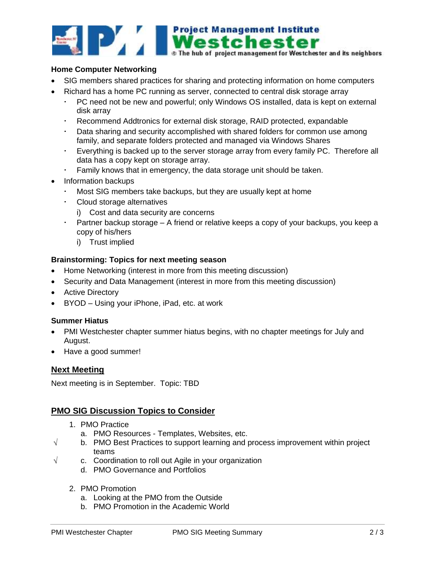

#### **Home Computer Networking**

- SIG members shared practices for sharing and protecting information on home computers
- Richard has a home PC running as server, connected to central disk storage array
	- PC need not be new and powerful; only Windows OS installed, data is kept on external disk array
	- Recommend Addtronics for external disk storage, RAID protected, expandable
	- Data sharing and security accomplished with shared folders for common use among family, and separate folders protected and managed via Windows Shares
	- Everything is backed up to the server storage array from every family PC. Therefore all data has a copy kept on storage array.
	- Family knows that in emergency, the data storage unit should be taken.
- Information backups
	- Most SIG members take backups, but they are usually kept at home
	- Cloud storage alternatives
		- i) Cost and data security are concerns
	- Partner backup storage A friend or relative keeps a copy of your backups, you keep a copy of his/hers
		- i) Trust implied

#### **Brainstorming: Topics for next meeting season**

- Home Networking (interest in more from this meeting discussion)
- Security and Data Management (interest in more from this meeting discussion)
- Active Directory
- BYOD Using your iPhone, iPad, etc. at work

#### **Summer Hiatus**

- PMI Westchester chapter summer hiatus begins, with no chapter meetings for July and August.
- Have a good summer!

### **Next Meeting**

Next meeting is in September. Topic: TBD

### **PMO SIG Discussion Topics to Consider**

- 1. PMO Practice
	- a. PMO Resources Templates, Websites, etc.
- $\sqrt{\phantom{a}}$  b. PMO Best Practices to support learning and process improvement within project teams
- $\sqrt{ }$  c. Coordination to roll out Agile in your organization
	- d. PMO Governance and Portfolios
	- 2. PMO Promotion
		- a. Looking at the PMO from the Outside
		- b. PMO Promotion in the Academic World